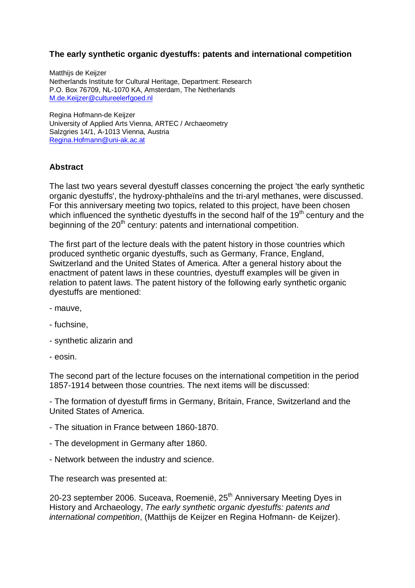## **The early synthetic organic dyestuffs: patents and international competition**

Matthijs de Keijzer Netherlands Institute for Cultural Heritage, Department: Research P.O. Box 76709, NL-1070 KA, Amsterdam, The Netherlands M.de.Keijzer@cultureelerfgoed.nl

Regina Hofmann-de Keijzer University of Applied Arts Vienna, ARTEC / Archaeometry Salzgries 14/1, A-1013 Vienna, Austria Regina.Hofmann@uni-ak.ac.at

## **Abstract**

The last two years several dyestuff classes concerning the project 'the early synthetic organic dyestuffs', the hydroxy-phthaleïns and the tri-aryl methanes, were discussed. For this anniversary meeting two topics, related to this project, have been chosen which influenced the synthetic dyestuffs in the second half of the  $19<sup>th</sup>$  century and the beginning of the  $20<sup>th</sup>$  century: patents and international competition.

The first part of the lecture deals with the patent history in those countries which produced synthetic organic dyestuffs, such as Germany, France, England, Switzerland and the United States of America. After a general history about the enactment of patent laws in these countries, dyestuff examples will be given in relation to patent laws. The patent history of the following early synthetic organic dyestuffs are mentioned:

- mauve,
- fuchsine,
- synthetic alizarin and
- eosin.

The second part of the lecture focuses on the international competition in the period 1857-1914 between those countries. The next items will be discussed:

- The formation of dyestuff firms in Germany, Britain, France, Switzerland and the United States of America.

- The situation in France between 1860-1870.
- The development in Germany after 1860.
- Network between the industry and science.

The research was presented at:

20-23 september 2006. Suceava, Roemenië, 25<sup>th</sup> Anniversary Meeting Dyes in History and Archaeology, The early synthetic organic dyestuffs: patents and international competition, (Matthiis de Keijzer en Regina Hofmann- de Keijzer).